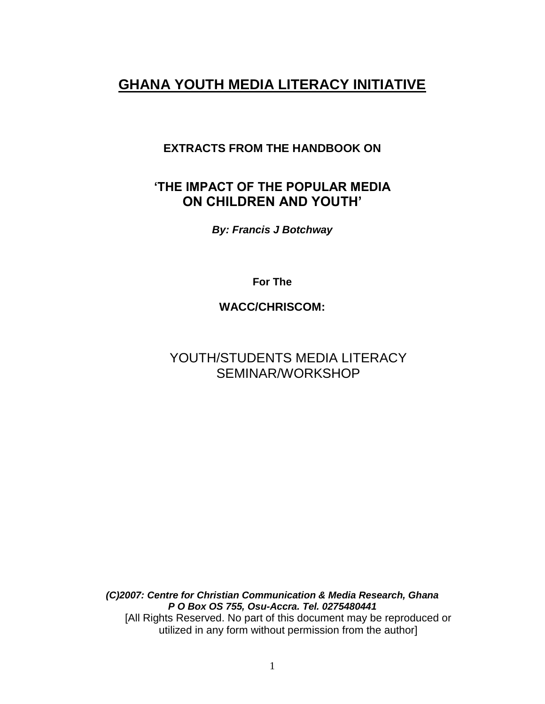# **GHANA YOUTH MEDIA LITERACY INITIATIVE**

### **EXTRACTS FROM THE HANDBOOK ON**

### **'THE IMPACT OF THE POPULAR MEDIA ON CHILDREN AND YOUTH'**

*By: Francis J Botchway*

**For The** 

**WACC/CHRISCOM:**

# YOUTH/STUDENTS MEDIA LITERACY SEMINAR/WORKSHOP

*(C)2007: Centre for Christian Communication & Media Research, Ghana P O Box OS 755, Osu-Accra. Tel. 0275480441* [All Rights Reserved. No part of this document may be reproduced or utilized in any form without permission from the author]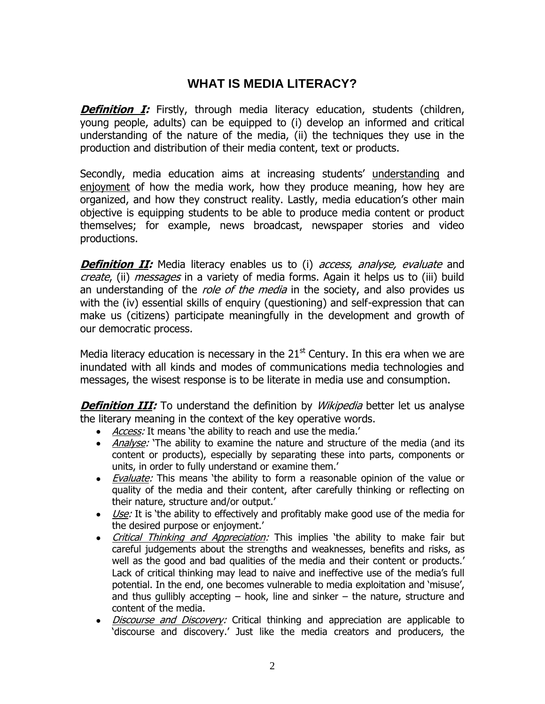## **WHAT IS MEDIA LITERACY?**

**Definition I:** Firstly, through media literacy education, students (children, young people, adults) can be equipped to (i) develop an informed and critical understanding of the nature of the media, (ii) the techniques they use in the production and distribution of their media content, text or products.

Secondly, media education aims at increasing students' understanding and enjoyment of how the media work, how they produce meaning, how hey are organized, and how they construct reality. Lastly, media education's other main objective is equipping students to be able to produce media content or product themselves; for example, news broadcast, newspaper stories and video productions.

**Definition II:** Media literacy enables us to (i) access, analyse, evaluate and create, (ii) messages in a variety of media forms. Again it helps us to (iii) build an understanding of the *role of the media* in the society, and also provides us with the (iv) essential skills of enquiry (questioning) and self-expression that can make us (citizens) participate meaningfully in the development and growth of our democratic process.

Media literacy education is necessary in the  $21<sup>st</sup>$  Century. In this era when we are inundated with all kinds and modes of communications media technologies and messages, the wisest response is to be literate in media use and consumption.

**Definition III:** To understand the definition by *Wikipedia* better let us analyse the literary meaning in the context of the key operative words.

- *Access:* It means 'the ability to reach and use the media.'
- Analyse: 'The ability to examine the nature and structure of the media (and its content or products), especially by separating these into parts, components or units, in order to fully understand or examine them.'
- *Evaluate:* This means 'the ability to form a reasonable opinion of the value or quality of the media and their content, after carefully thinking or reflecting on their nature, structure and/or output.'
- Use: It is 'the ability to effectively and profitably make good use of the media for the desired purpose or enjoyment.'
- *Critical Thinking and Appreciation:* This implies 'the ability to make fair but careful judgements about the strengths and weaknesses, benefits and risks, as well as the good and bad qualities of the media and their content or products.' Lack of critical thinking may lead to naive and ineffective use of the media's full potential. In the end, one becomes vulnerable to media exploitation and 'misuse', and thus gullibly accepting  $-$  hook, line and sinker  $-$  the nature, structure and content of the media.
- *Discourse and Discovery:* Critical thinking and appreciation are applicable to 'discourse and discovery.' Just like the media creators and producers, the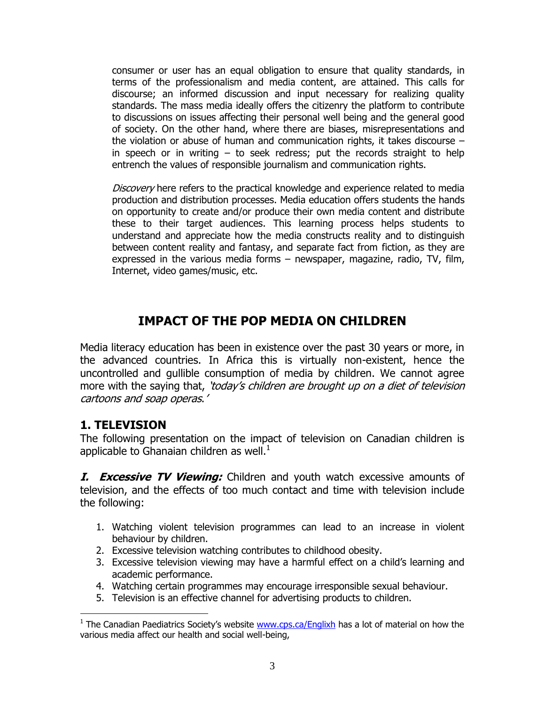consumer or user has an equal obligation to ensure that quality standards, in terms of the professionalism and media content, are attained. This calls for discourse; an informed discussion and input necessary for realizing quality standards. The mass media ideally offers the citizenry the platform to contribute to discussions on issues affecting their personal well being and the general good of society. On the other hand, where there are biases, misrepresentations and the violation or abuse of human and communication rights, it takes discourse – in speech or in writing  $-$  to seek redress; put the records straight to help entrench the values of responsible journalism and communication rights.

Discovery here refers to the practical knowledge and experience related to media production and distribution processes. Media education offers students the hands on opportunity to create and/or produce their own media content and distribute these to their target audiences. This learning process helps students to understand and appreciate how the media constructs reality and to distinguish between content reality and fantasy, and separate fact from fiction, as they are expressed in the various media forms – newspaper, magazine, radio, TV, film, Internet, video games/music, etc.

# **IMPACT OF THE POP MEDIA ON CHILDREN**

Media literacy education has been in existence over the past 30 years or more, in the advanced countries. In Africa this is virtually non-existent, hence the uncontrolled and gullible consumption of media by children. We cannot agree more with the saying that, 'today's children are brought up on a diet of television cartoons and soap operas.'

### **1. TELEVISION**

 $\overline{a}$ 

The following presentation on the impact of television on Canadian children is applicable to Ghanaian children as well. $<sup>1</sup>$ </sup>

**I. Excessive TV Viewing:** Children and youth watch excessive amounts of television, and the effects of too much contact and time with television include the following:

- 1. Watching violent television programmes can lead to an increase in violent behaviour by children.
- 2. Excessive television watching contributes to childhood obesity.
- 3. Excessive television viewing may have a harmful effect on a child's learning and academic performance.
- 4. Watching certain programmes may encourage irresponsible sexual behaviour.
- 5. Television is an effective channel for advertising products to children.

<sup>&</sup>lt;sup>1</sup> The Canadian Paediatrics Society's website **www.cps.ca/Englixh** has a lot of material on how the various media affect our health and social well-being,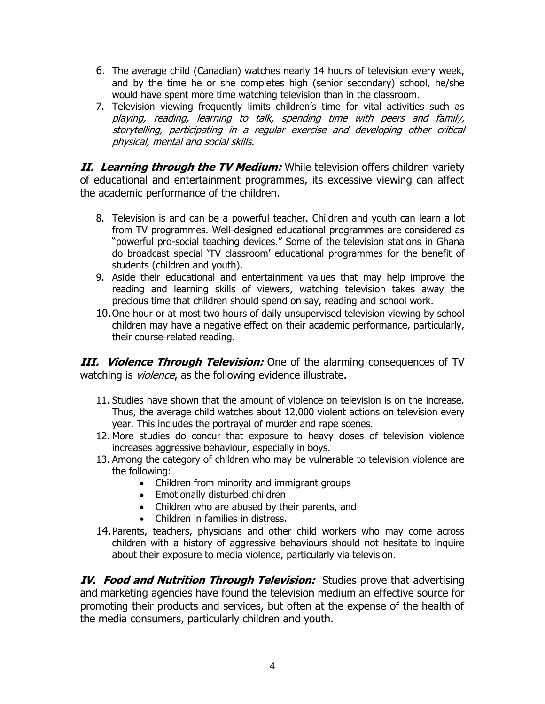- 6. The average child (Canadian) watches nearly 14 hours of television every week, and by the time he or she completes high (senior secondary) school, he/she would have spent more time watching television than in the classroom.
- 7. Television viewing frequently limits children's time for vital activities such as playing, reading, learning to talk, spending time with peers and family, storytelling, participating in a regular exercise and developing other critical physical, mental and social skills.

**II. Learning through the TV Medium:** While television offers children variety of educational and entertainment programmes, its excessive viewing can affect the academic performance of the children.

- 8. Television is and can be a powerful teacher. Children and youth can learn a lot from TV programmes. Well-designed educational programmes are considered as "powerful pro-social teaching devices." Some of the television stations in Ghana do broadcast special 'TV classroom' educational programmes for the benefit of students (children and youth).
- 9. Aside their educational and entertainment values that may help improve the reading and learning skills of viewers, watching television takes away the precious time that children should spend on say, reading and school work.
- 10.One hour or at most two hours of daily unsupervised television viewing by school children may have a negative effect on their academic performance, particularly, their course-related reading.

**III. Violence Through Television:** One of the alarming consequences of TV watching is *violence*, as the following evidence illustrate.

- 11. Studies have shown that the amount of violence on television is on the increase. Thus, the average child watches about 12,000 violent actions on television every year. This includes the portrayal of murder and rape scenes.
- 12. More studies do concur that exposure to heavy doses of television violence increases aggressive behaviour, especially in boys.
- 13. Among the category of children who may be vulnerable to television violence are the following:
	- Children from minority and immigrant groups
	- Emotionally disturbed children
	- Children who are abused by their parents, and
	- Children in families in distress.
- 14.Parents, teachers, physicians and other child workers who may come across children with a history of aggressive behaviours should not hesitate to inquire about their exposure to media violence, particularly via television.

**IV. Food and Nutrition Through Television:** Studies prove that advertising and marketing agencies have found the television medium an effective source for promoting their products and services, but often at the expense of the health of the media consumers, particularly children and youth.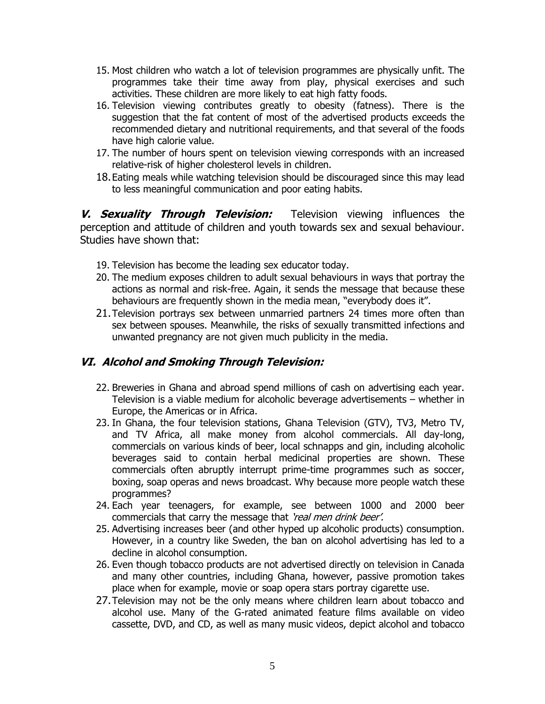- 15. Most children who watch a lot of television programmes are physically unfit. The programmes take their time away from play, physical exercises and such activities. These children are more likely to eat high fatty foods.
- 16. Television viewing contributes greatly to obesity (fatness). There is the suggestion that the fat content of most of the advertised products exceeds the recommended dietary and nutritional requirements, and that several of the foods have high calorie value.
- 17. The number of hours spent on television viewing corresponds with an increased relative-risk of higher cholesterol levels in children.
- 18.Eating meals while watching television should be discouraged since this may lead to less meaningful communication and poor eating habits.

**V. Sexuality Through Television:** Television viewing influences the perception and attitude of children and youth towards sex and sexual behaviour. Studies have shown that:

- 19. Television has become the leading sex educator today.
- 20. The medium exposes children to adult sexual behaviours in ways that portray the actions as normal and risk-free. Again, it sends the message that because these behaviours are frequently shown in the media mean, "everybody does it".
- 21.Television portrays sex between unmarried partners 24 times more often than sex between spouses. Meanwhile, the risks of sexually transmitted infections and unwanted pregnancy are not given much publicity in the media.

### **VI. Alcohol and Smoking Through Television:**

- 22. Breweries in Ghana and abroad spend millions of cash on advertising each year. Television is a viable medium for alcoholic beverage advertisements – whether in Europe, the Americas or in Africa.
- 23. In Ghana, the four television stations, Ghana Television (GTV), TV3, Metro TV, and TV Africa, all make money from alcohol commercials. All day-long, commercials on various kinds of beer, local schnapps and gin, including alcoholic beverages said to contain herbal medicinal properties are shown. These commercials often abruptly interrupt prime-time programmes such as soccer, boxing, soap operas and news broadcast. Why because more people watch these programmes?
- 24. Each year teenagers, for example, see between 1000 and 2000 beer commercials that carry the message that 'real men drink beer'.
- 25. Advertising increases beer (and other hyped up alcoholic products) consumption. However, in a country like Sweden, the ban on alcohol advertising has led to a decline in alcohol consumption.
- 26. Even though tobacco products are not advertised directly on television in Canada and many other countries, including Ghana, however, passive promotion takes place when for example, movie or soap opera stars portray cigarette use.
- 27.Television may not be the only means where children learn about tobacco and alcohol use. Many of the G-rated animated feature films available on video cassette, DVD, and CD, as well as many music videos, depict alcohol and tobacco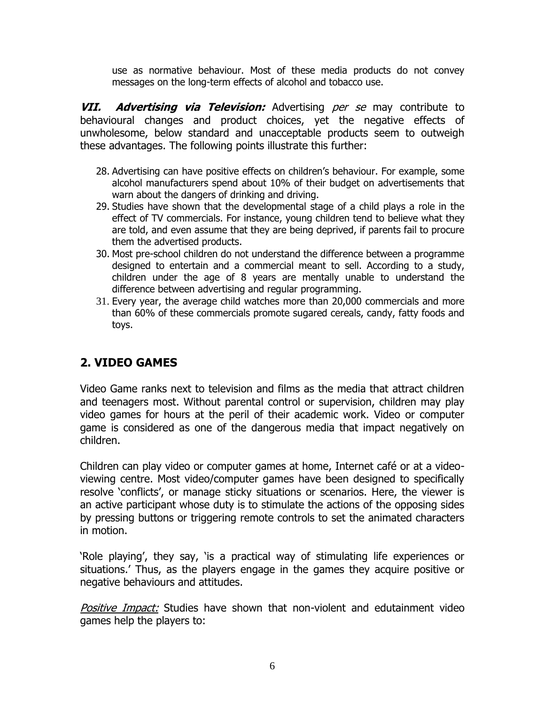use as normative behaviour. Most of these media products do not convey messages on the long-term effects of alcohol and tobacco use.

**VII. Advertising via Television:** Advertising per se may contribute to behavioural changes and product choices, yet the negative effects of unwholesome, below standard and unacceptable products seem to outweigh these advantages. The following points illustrate this further:

- 28. Advertising can have positive effects on children's behaviour. For example, some alcohol manufacturers spend about 10% of their budget on advertisements that warn about the dangers of drinking and driving.
- 29. Studies have shown that the developmental stage of a child plays a role in the effect of TV commercials. For instance, young children tend to believe what they are told, and even assume that they are being deprived, if parents fail to procure them the advertised products.
- 30. Most pre-school children do not understand the difference between a programme designed to entertain and a commercial meant to sell. According to a study, children under the age of 8 years are mentally unable to understand the difference between advertising and regular programming.
- 31. Every year, the average child watches more than 20,000 commercials and more than 60% of these commercials promote sugared cereals, candy, fatty foods and toys.

# **2. VIDEO GAMES**

Video Game ranks next to television and films as the media that attract children and teenagers most. Without parental control or supervision, children may play video games for hours at the peril of their academic work. Video or computer game is considered as one of the dangerous media that impact negatively on children.

Children can play video or computer games at home, Internet café or at a videoviewing centre. Most video/computer games have been designed to specifically resolve 'conflicts', or manage sticky situations or scenarios. Here, the viewer is an active participant whose duty is to stimulate the actions of the opposing sides by pressing buttons or triggering remote controls to set the animated characters in motion.

'Role playing', they say, 'is a practical way of stimulating life experiences or situations.' Thus, as the players engage in the games they acquire positive or negative behaviours and attitudes.

Positive Impact: Studies have shown that non-violent and edutainment video games help the players to: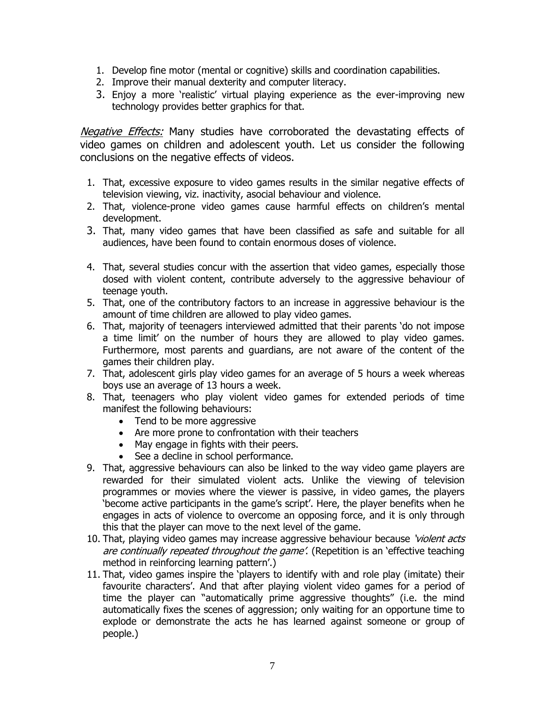- 1. Develop fine motor (mental or cognitive) skills and coordination capabilities.
- 2. Improve their manual dexterity and computer literacy.
- 3. Enjoy a more 'realistic' virtual playing experience as the ever-improving new technology provides better graphics for that.

Negative Effects: Many studies have corroborated the devastating effects of video games on children and adolescent youth. Let us consider the following conclusions on the negative effects of videos.

- 1. That, excessive exposure to video games results in the similar negative effects of television viewing, viz. inactivity, asocial behaviour and violence.
- 2. That, violence-prone video games cause harmful effects on children's mental development.
- 3. That, many video games that have been classified as safe and suitable for all audiences, have been found to contain enormous doses of violence.
- 4. That, several studies concur with the assertion that video games, especially those dosed with violent content, contribute adversely to the aggressive behaviour of teenage youth.
- 5. That, one of the contributory factors to an increase in aggressive behaviour is the amount of time children are allowed to play video games.
- 6. That, majority of teenagers interviewed admitted that their parents 'do not impose a time limit' on the number of hours they are allowed to play video games. Furthermore, most parents and guardians, are not aware of the content of the games their children play.
- 7. That, adolescent girls play video games for an average of 5 hours a week whereas boys use an average of 13 hours a week.
- 8. That, teenagers who play violent video games for extended periods of time manifest the following behaviours:
	- Tend to be more aggressive
	- Are more prone to confrontation with their teachers
	- May engage in fights with their peers.
	- See a decline in school performance.
- 9. That, aggressive behaviours can also be linked to the way video game players are rewarded for their simulated violent acts. Unlike the viewing of television programmes or movies where the viewer is passive, in video games, the players 'become active participants in the game's script'. Here, the player benefits when he engages in acts of violence to overcome an opposing force, and it is only through this that the player can move to the next level of the game.
- 10. That, playing video games may increase aggressive behaviour because 'violent acts' are continually repeated throughout the game'. (Repetition is an 'effective teaching method in reinforcing learning pattern'.)
- 11. That, video games inspire the 'players to identify with and role play (imitate) their favourite characters'. And that after playing violent video games for a period of time the player can "automatically prime aggressive thoughts" (i.e. the mind automatically fixes the scenes of aggression; only waiting for an opportune time to explode or demonstrate the acts he has learned against someone or group of people.)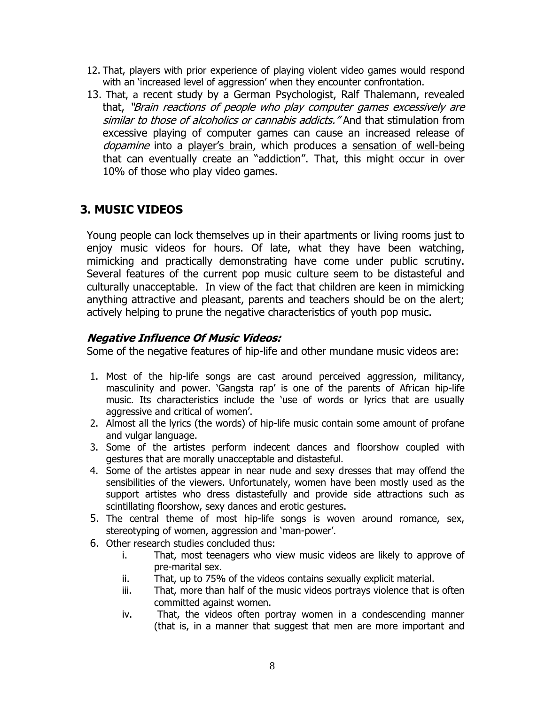- 12. That, players with prior experience of playing violent video games would respond with an 'increased level of aggression' when they encounter confrontation.
- 13. That, a recent study by a German Psychologist, Ralf Thalemann, revealed that, "Brain reactions of people who play computer games excessively are similar to those of alcoholics or cannabis addicts." And that stimulation from excessive playing of computer games can cause an increased release of dopamine into a player's brain, which produces a sensation of well-being that can eventually create an "addiction". That, this might occur in over 10% of those who play video games.

# **3. MUSIC VIDEOS**

Young people can lock themselves up in their apartments or living rooms just to enjoy music videos for hours. Of late, what they have been watching, mimicking and practically demonstrating have come under public scrutiny. Several features of the current pop music culture seem to be distasteful and culturally unacceptable. In view of the fact that children are keen in mimicking anything attractive and pleasant, parents and teachers should be on the alert; actively helping to prune the negative characteristics of youth pop music.

#### **Negative Influence Of Music Videos:**

Some of the negative features of hip-life and other mundane music videos are:

- 1. Most of the hip-life songs are cast around perceived aggression, militancy, masculinity and power. 'Gangsta rap' is one of the parents of African hip-life music. Its characteristics include the 'use of words or lyrics that are usually aggressive and critical of women'.
- 2. Almost all the lyrics (the words) of hip-life music contain some amount of profane and vulgar language.
- 3. Some of the artistes perform indecent dances and floorshow coupled with gestures that are morally unacceptable and distasteful.
- 4. Some of the artistes appear in near nude and sexy dresses that may offend the sensibilities of the viewers. Unfortunately, women have been mostly used as the support artistes who dress distastefully and provide side attractions such as scintillating floorshow, sexy dances and erotic gestures.
- 5. The central theme of most hip-life songs is woven around romance, sex, stereotyping of women, aggression and 'man-power'.
- 6. Other research studies concluded thus:
	- i. That, most teenagers who view music videos are likely to approve of pre-marital sex.
	- ii. That, up to 75% of the videos contains sexually explicit material.
	- iii. That, more than half of the music videos portrays violence that is often committed against women.
	- iv. That, the videos often portray women in a condescending manner (that is, in a manner that suggest that men are more important and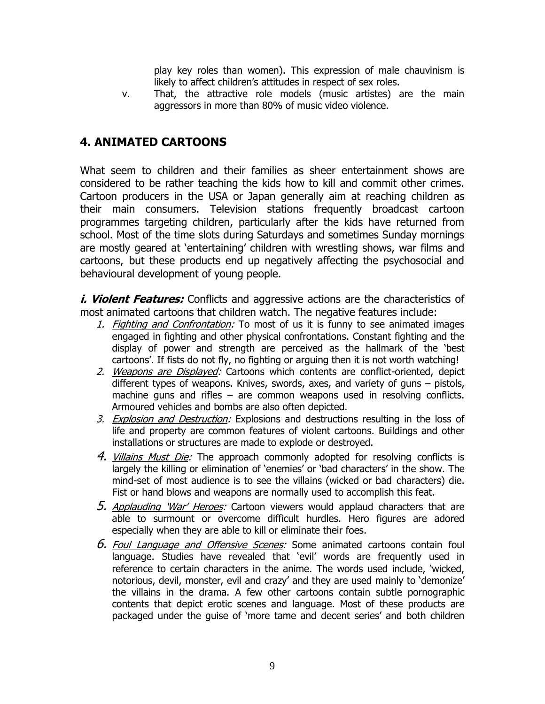play key roles than women). This expression of male chauvinism is likely to affect children's attitudes in respect of sex roles.

v. That, the attractive role models (music artistes) are the main aggressors in more than 80% of music video violence.

## **4. ANIMATED CARTOONS**

What seem to children and their families as sheer entertainment shows are considered to be rather teaching the kids how to kill and commit other crimes. Cartoon producers in the USA or Japan generally aim at reaching children as their main consumers. Television stations frequently broadcast cartoon programmes targeting children, particularly after the kids have returned from school. Most of the time slots during Saturdays and sometimes Sunday mornings are mostly geared at 'entertaining' children with wrestling shows, war films and cartoons, but these products end up negatively affecting the psychosocial and behavioural development of young people.

*i. Violent Features:* Conflicts and aggressive actions are the characteristics of most animated cartoons that children watch. The negative features include:

- 1. Fighting and Confrontation: To most of us it is funny to see animated images engaged in fighting and other physical confrontations. Constant fighting and the display of power and strength are perceived as the hallmark of the 'best cartoons'. If fists do not fly, no fighting or arguing then it is not worth watching!
- 2. Weapons are Displayed: Cartoons which contents are conflict-oriented, depict different types of weapons. Knives, swords, axes, and variety of guns – pistols, machine guns and rifles – are common weapons used in resolving conflicts. Armoured vehicles and bombs are also often depicted.
- 3. Explosion and Destruction: Explosions and destructions resulting in the loss of life and property are common features of violent cartoons. Buildings and other installations or structures are made to explode or destroyed.
- 4. Villains Must Die: The approach commonly adopted for resolving conflicts is largely the killing or elimination of 'enemies' or 'bad characters' in the show. The mind-set of most audience is to see the villains (wicked or bad characters) die. Fist or hand blows and weapons are normally used to accomplish this feat.
- 5. Applauding 'War' Heroes: Cartoon viewers would applaud characters that are able to surmount or overcome difficult hurdles. Hero figures are adored especially when they are able to kill or eliminate their foes.
- 6. Foul Language and Offensive Scenes: Some animated cartoons contain foul language. Studies have revealed that 'evil' words are frequently used in reference to certain characters in the anime. The words used include, 'wicked, notorious, devil, monster, evil and crazy' and they are used mainly to 'demonize' the villains in the drama. A few other cartoons contain subtle pornographic contents that depict erotic scenes and language. Most of these products are packaged under the guise of 'more tame and decent series' and both children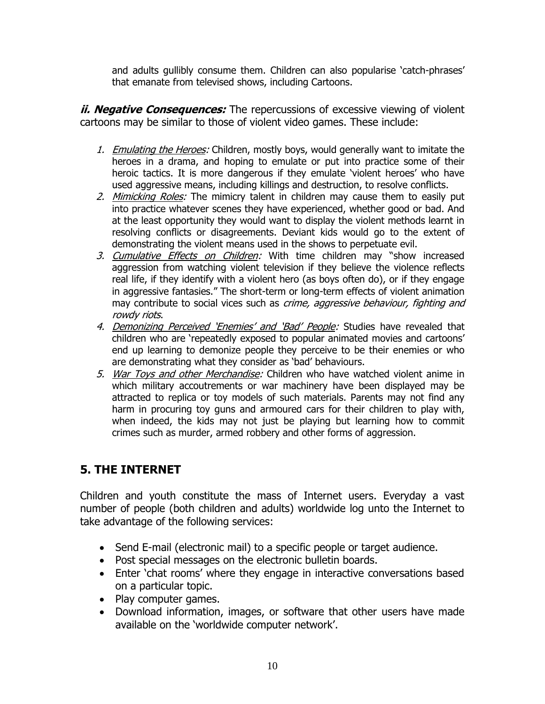and adults gullibly consume them. Children can also popularise 'catch-phrases' that emanate from televised shows, including Cartoons.

*ii. Negative Consequences:* The repercussions of excessive viewing of violent cartoons may be similar to those of violent video games. These include:

- 1. Emulating the Heroes: Children, mostly boys, would generally want to imitate the heroes in a drama, and hoping to emulate or put into practice some of their heroic tactics. It is more dangerous if they emulate 'violent heroes' who have used aggressive means, including killings and destruction, to resolve conflicts.
- 2. Mimicking Roles: The mimicry talent in children may cause them to easily put into practice whatever scenes they have experienced, whether good or bad. And at the least opportunity they would want to display the violent methods learnt in resolving conflicts or disagreements. Deviant kids would go to the extent of demonstrating the violent means used in the shows to perpetuate evil.
- 3. Cumulative Effects on Children: With time children may "show increased aggression from watching violent television if they believe the violence reflects real life, if they identify with a violent hero (as boys often do), or if they engage in aggressive fantasies." The short-term or long-term effects of violent animation may contribute to social vices such as *crime, aggressive behaviour, fighting and* rowdy riots.
- 4. Demonizing Perceived 'Enemies' and 'Bad' People: Studies have revealed that children who are 'repeatedly exposed to popular animated movies and cartoons' end up learning to demonize people they perceive to be their enemies or who are demonstrating what they consider as 'bad' behaviours.
- 5. War Toys and other Merchandise: Children who have watched violent anime in which military accoutrements or war machinery have been displayed may be attracted to replica or toy models of such materials. Parents may not find any harm in procuring toy guns and armoured cars for their children to play with, when indeed, the kids may not just be playing but learning how to commit crimes such as murder, armed robbery and other forms of aggression.

### **5. THE INTERNET**

Children and youth constitute the mass of Internet users. Everyday a vast number of people (both children and adults) worldwide log unto the Internet to take advantage of the following services:

- Send E-mail (electronic mail) to a specific people or target audience.
- Post special messages on the electronic bulletin boards.
- Enter 'chat rooms' where they engage in interactive conversations based on a particular topic.
- Play computer games.
- Download information, images, or software that other users have made available on the 'worldwide computer network'.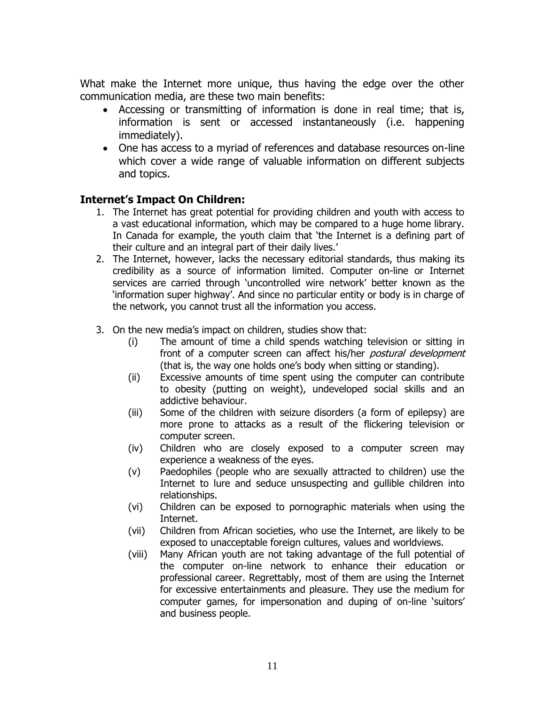What make the Internet more unique, thus having the edge over the other communication media, are these two main benefits:

- Accessing or transmitting of information is done in real time; that is, information is sent or accessed instantaneously (i.e. happening immediately).
- One has access to a myriad of references and database resources on-line which cover a wide range of valuable information on different subjects and topics.

#### **Internet's Impact On Children:**

- 1. The Internet has great potential for providing children and youth with access to a vast educational information, which may be compared to a huge home library. In Canada for example, the youth claim that 'the Internet is a defining part of their culture and an integral part of their daily lives.'
- 2. The Internet, however, lacks the necessary editorial standards, thus making its credibility as a source of information limited. Computer on-line or Internet services are carried through 'uncontrolled wire network' better known as the 'information super highway'. And since no particular entity or body is in charge of the network, you cannot trust all the information you access.
- 3. On the new media's impact on children, studies show that:
	- (i) The amount of time a child spends watching television or sitting in front of a computer screen can affect his/her *postural development* (that is, the way one holds one's body when sitting or standing).
	- (ii) Excessive amounts of time spent using the computer can contribute to obesity (putting on weight), undeveloped social skills and an addictive behaviour.
	- (iii) Some of the children with seizure disorders (a form of epilepsy) are more prone to attacks as a result of the flickering television or computer screen.
	- (iv) Children who are closely exposed to a computer screen may experience a weakness of the eyes.
	- (v) Paedophiles (people who are sexually attracted to children) use the Internet to lure and seduce unsuspecting and gullible children into relationships.
	- (vi) Children can be exposed to pornographic materials when using the Internet.
	- (vii) Children from African societies, who use the Internet, are likely to be exposed to unacceptable foreign cultures, values and worldviews.
	- (viii) Many African youth are not taking advantage of the full potential of the computer on-line network to enhance their education or professional career. Regrettably, most of them are using the Internet for excessive entertainments and pleasure. They use the medium for computer games, for impersonation and duping of on-line 'suitors' and business people.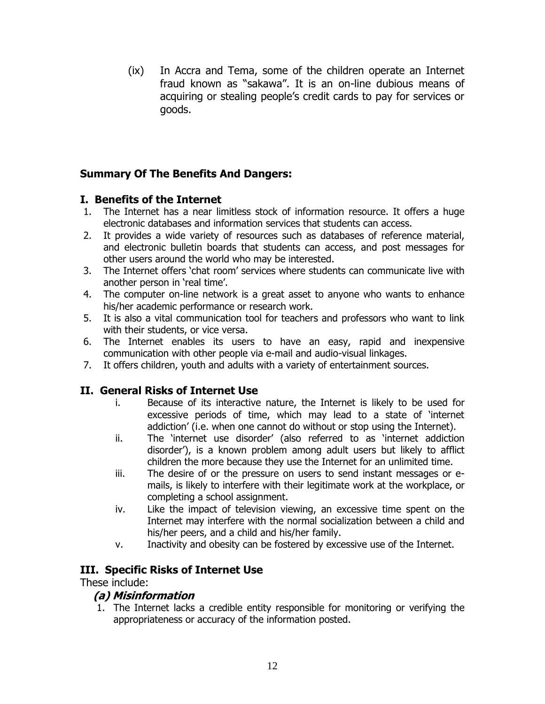(ix) In Accra and Tema, some of the children operate an Internet fraud known as "sakawa". It is an on-line dubious means of acquiring or stealing people's credit cards to pay for services or goods.

### **Summary Of The Benefits And Dangers:**

### **I. Benefits of the Internet**

- 1. The Internet has a near limitless stock of information resource. It offers a huge electronic databases and information services that students can access.
- 2. It provides a wide variety of resources such as databases of reference material, and electronic bulletin boards that students can access, and post messages for other users around the world who may be interested.
- 3. The Internet offers 'chat room' services where students can communicate live with another person in 'real time'.
- 4. The computer on-line network is a great asset to anyone who wants to enhance his/her academic performance or research work.
- 5. It is also a vital communication tool for teachers and professors who want to link with their students, or vice versa.
- 6. The Internet enables its users to have an easy, rapid and inexpensive communication with other people via e-mail and audio-visual linkages.
- 7. It offers children, youth and adults with a variety of entertainment sources.

### **II. General Risks of Internet Use**

- i. Because of its interactive nature, the Internet is likely to be used for excessive periods of time, which may lead to a state of 'internet addiction' (i.e. when one cannot do without or stop using the Internet).
- ii. The 'internet use disorder' (also referred to as 'internet addiction disorder'), is a known problem among adult users but likely to afflict children the more because they use the Internet for an unlimited time.
- iii. The desire of or the pressure on users to send instant messages or emails, is likely to interfere with their legitimate work at the workplace, or completing a school assignment.
- iv. Like the impact of television viewing, an excessive time spent on the Internet may interfere with the normal socialization between a child and his/her peers, and a child and his/her family.
- v. Inactivity and obesity can be fostered by excessive use of the Internet.

### **III. Specific Risks of Internet Use**

#### These include:

### **(a) Misinformation**

1. The Internet lacks a credible entity responsible for monitoring or verifying the appropriateness or accuracy of the information posted.